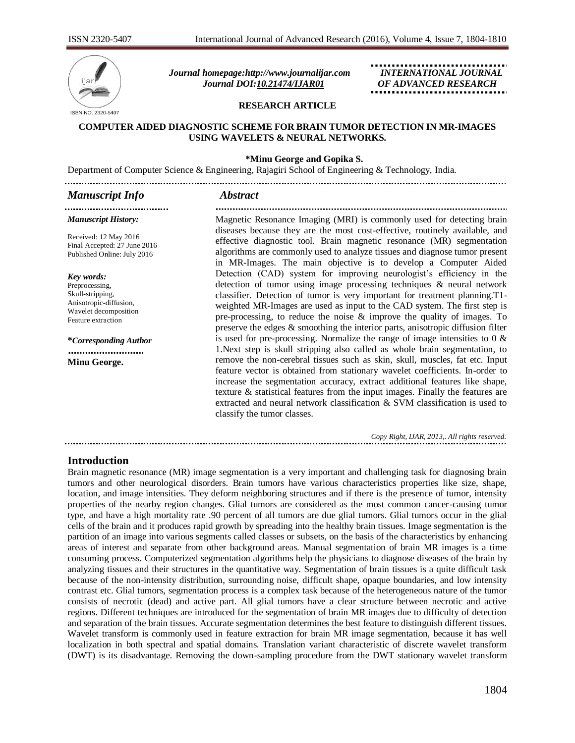

*Journal homepage[:http://www.journalijar.com](http://www.journalijar.com/) INTERNATIONAL JOURNAL Journal DOI[:10.21474/IJAR01](http://dx.doi.org/10.21474/IJAR01) OF ADVANCED RESEARCH*

#### **RESEARCH ARTICLE**

#### **COMPUTER AIDED DIAGNOSTIC SCHEME FOR BRAIN TUMOR DETECTION IN MR-IMAGES USING WAVELETS & NEURAL NETWORKS.**

#### **\*Minu George and Gopika S.**

Department of Computer Science & Engineering, Rajagiri School of Engineering & Technology, India.

### *Manuscript Info Abstract*

....................................

#### *Manuscript History:*

Received: 12 May 2016 Final Accepted: 27 June 2016 Published Online: July 2016

#### *Key words:*

Preprocessing, Skull-stripping, Anisotropic-diffusion, Wavelet decomposition Feature extraction

**\****Corresponding Author*

..........................

**Minu George.**

Magnetic Resonance Imaging (MRI) is commonly used for detecting brain diseases because they are the most cost-effective, routinely available, and effective diagnostic tool. Brain magnetic resonance (MR) segmentation algorithms are commonly used to analyze tissues and diagnose tumor present in MR-Images. The main objective is to develop a Computer Aided Detection (CAD) system for improving neurologist's efficiency in the detection of tumor using image processing techniques & neural network classifier. Detection of tumor is very important for treatment planning.T1 weighted MR-Images are used as input to the CAD system. The first step is pre-processing, to reduce the noise  $\&$  improve the quality of images. To preserve the edges & smoothing the interior parts, anisotropic diffusion filter is used for pre-processing. Normalize the range of image intensities to  $0 \&$ 1.Next step is skull stripping also called as whole brain segmentation, to remove the non-cerebral tissues such as skin, skull, muscles, fat etc. Input feature vector is obtained from stationary wavelet coefficients. In-order to increase the segmentation accuracy, extract additional features like shape, texture & statistical features from the input images. Finally the features are extracted and neural network classification & SVM classification is used to classify the tumor classes.

*Copy Right, IJAR, 2013,. All rights reserved.*

#### **Introduction**

Brain magnetic resonance (MR) image segmentation is a very important and challenging task for diagnosing brain tumors and other neurological disorders. Brain tumors have various characteristics properties like size, shape, location, and image intensities. They deform neighboring structures and if there is the presence of tumor, intensity properties of the nearby region changes. Glial tumors are considered as the most common cancer-causing tumor type, and have a high mortality rate .90 percent of all tumors are due glial tumors. Glial tumors occur in the glial cells of the brain and it produces rapid growth by spreading into the healthy brain tissues. Image segmentation is the partition of an image into various segments called classes or subsets, on the basis of the characteristics by enhancing areas of interest and separate from other background areas. Manual segmentation of brain MR images is a time consuming process. Computerized segmentation algorithms help the physicians to diagnose diseases of the brain by analyzing tissues and their structures in the quantitative way. Segmentation of brain tissues is a quite difficult task because of the non-intensity distribution, surrounding noise, difficult shape, opaque boundaries, and low intensity contrast etc. Glial tumors, segmentation process is a complex task because of the heterogeneous nature of the tumor consists of necrotic (dead) and active part. All glial tumors have a clear structure between necrotic and active regions. Different techniques are introduced for the segmentation of brain MR images due to difficulty of detection and separation of the brain tissues. Accurate segmentation determines the best feature to distinguish different tissues. Wavelet transform is commonly used in feature extraction for brain MR image segmentation, because it has well localization in both spectral and spatial domains. Translation variant characteristic of discrete wavelet transform (DWT) is its disadvantage. Removing the down-sampling procedure from the DWT stationary wavelet transform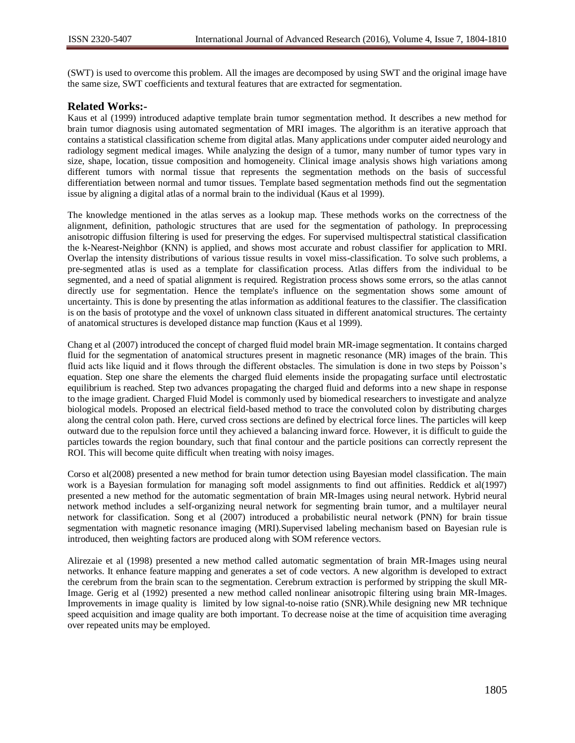(SWT) is used to overcome this problem. All the images are decomposed by using SWT and the original image have the same size, SWT coefficients and textural features that are extracted for segmentation.

## **Related Works:-**

Kaus et al (1999) introduced adaptive template brain tumor segmentation method. It describes a new method for brain tumor diagnosis using automated segmentation of MRI images. The algorithm is an iterative approach that contains a statistical classification scheme from digital atlas. Many applications under computer aided neurology and radiology segment medical images. While analyzing the design of a tumor, many number of tumor types vary in size, shape, location, tissue composition and homogeneity. Clinical image analysis shows high variations among different tumors with normal tissue that represents the segmentation methods on the basis of successful differentiation between normal and tumor tissues. Template based segmentation methods find out the segmentation issue by aligning a digital atlas of a normal brain to the individual (Kaus et al 1999).

The knowledge mentioned in the atlas serves as a lookup map. These methods works on the correctness of the alignment, definition, pathologic structures that are used for the segmentation of pathology. In preprocessing anisotropic diffusion filtering is used for preserving the edges. For supervised multispectral statistical classification the k-Nearest-Neighbor (KNN) is applied, and shows most accurate and robust classifier for application to MRI. Overlap the intensity distributions of various tissue results in voxel miss-classification. To solve such problems, a pre-segmented atlas is used as a template for classification process. Atlas differs from the individual to be segmented, and a need of spatial alignment is required. Registration process shows some errors, so the atlas cannot directly use for segmentation. Hence the template's influence on the segmentation shows some amount of uncertainty. This is done by presenting the atlas information as additional features to the classifier. The classification is on the basis of prototype and the voxel of unknown class situated in different anatomical structures. The certainty of anatomical structures is developed distance map function (Kaus et al 1999).

Chang et al (2007) introduced the concept of charged fluid model brain MR-image segmentation. It contains charged fluid for the segmentation of anatomical structures present in magnetic resonance (MR) images of the brain. This fluid acts like liquid and it flows through the different obstacles. The simulation is done in two steps by Poisson's equation. Step one share the elements the charged fluid elements inside the propagating surface until electrostatic equilibrium is reached. Step two advances propagating the charged fluid and deforms into a new shape in response to the image gradient. Charged Fluid Model is commonly used by biomedical researchers to investigate and analyze biological models. Proposed an electrical field-based method to trace the convoluted colon by distributing charges along the central colon path. Here, curved cross sections are defined by electrical force lines. The particles will keep outward due to the repulsion force until they achieved a balancing inward force. However, it is difficult to guide the particles towards the region boundary, such that final contour and the particle positions can correctly represent the ROI. This will become quite difficult when treating with noisy images.

Corso et al(2008) presented a new method for brain tumor detection using Bayesian model classification. The main work is a Bayesian formulation for managing soft model assignments to find out affinities. Reddick et al(1997) presented a new method for the automatic segmentation of brain MR-Images using neural network. Hybrid neural network method includes a self-organizing neural network for segmenting brain tumor, and a multilayer neural network for classification. Song et al (2007) introduced a probabilistic neural network (PNN) for brain tissue segmentation with magnetic resonance imaging (MRI).Supervised labeling mechanism based on Bayesian rule is introduced, then weighting factors are produced along with SOM reference vectors.

Alirezaie et al (1998) presented a new method called automatic segmentation of brain MR-Images using neural networks. It enhance feature mapping and generates a set of code vectors. A new algorithm is developed to extract the cerebrum from the brain scan to the segmentation. Cerebrum extraction is performed by stripping the skull MR-Image. Gerig et al (1992) presented a new method called nonlinear anisotropic filtering using brain MR-Images. Improvements in image quality is limited by low signal-to-noise ratio (SNR).While designing new MR technique speed acquisition and image quality are both important. To decrease noise at the time of acquisition time averaging over repeated units may be employed.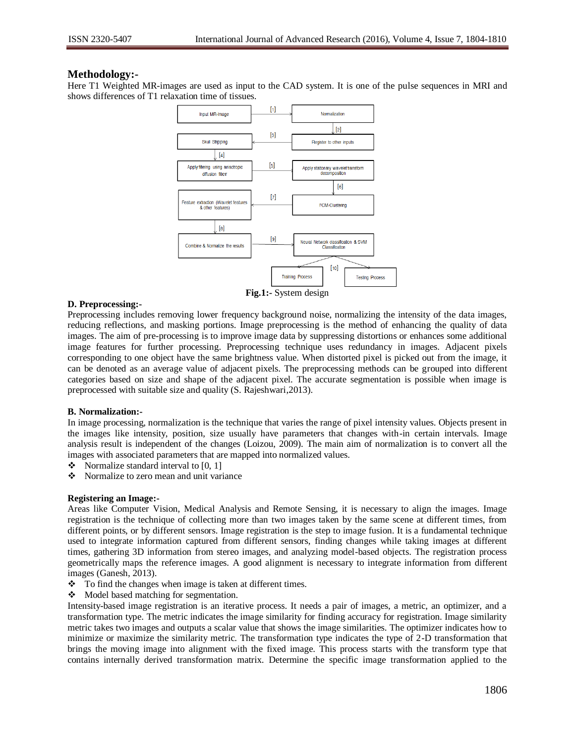## **Methodology:-**

Here T1 Weighted MR-images are used as input to the CAD system. It is one of the pulse sequences in MRI and shows differences of T1 relaxation time of tissues.



**Fig.1:-** System design

## **D. Preprocessing:-**

Preprocessing includes removing lower frequency background noise, normalizing the intensity of the data images, reducing reflections, and masking portions. Image preprocessing is the method of enhancing the quality of data images. The aim of pre-processing is to improve image data by suppressing distortions or enhances some additional image features for further processing. Preprocessing technique uses redundancy in images. Adjacent pixels corresponding to one object have the same brightness value. When distorted pixel is picked out from the image, it can be denoted as an average value of adjacent pixels. The preprocessing methods can be grouped into different categories based on size and shape of the adjacent pixel. The accurate segmentation is possible when image is preprocessed with suitable size and quality (S. Rajeshwari,2013).

## **B. Normalization:-**

In image processing, normalization is the technique that varies the range of pixel intensity values. Objects present in the images like intensity, position, size usually have parameters that changes with-in certain intervals. Image analysis result is independent of the changes (Loizou, 2009). The main aim of normalization is to convert all the images with associated parameters that are mapped into normalized values.

- $\bullet$  Normalize standard interval to [0, 1]
- Normalize to zero mean and unit variance

#### **Registering an Image:-**

Areas like Computer Vision, Medical Analysis and Remote Sensing, it is necessary to align the images. Image registration is the technique of collecting more than two images taken by the same scene at different times, from different points, or by different sensors. Image registration is the step to image fusion. It is a fundamental technique used to integrate information captured from different sensors, finding changes while taking images at different times, gathering 3D information from stereo images, and analyzing model-based objects. The registration process geometrically maps the reference images. A good alignment is necessary to integrate information from different images (Ganesh, 2013).

- $\bullet$  To find the changes when image is taken at different times.
- Model based matching for segmentation.

Intensity-based image registration is an iterative process. It needs a pair of images, a metric, an optimizer, and a transformation type. The metric indicates the image similarity for finding accuracy for registration. Image similarity metric takes two images and outputs a scalar value that shows the image similarities. The optimizer indicates how to minimize or maximize the similarity metric. The transformation type indicates the type of 2-D transformation that brings the moving image into alignment with the fixed image. This process starts with the transform type that contains internally derived transformation matrix. Determine the specific image transformation applied to the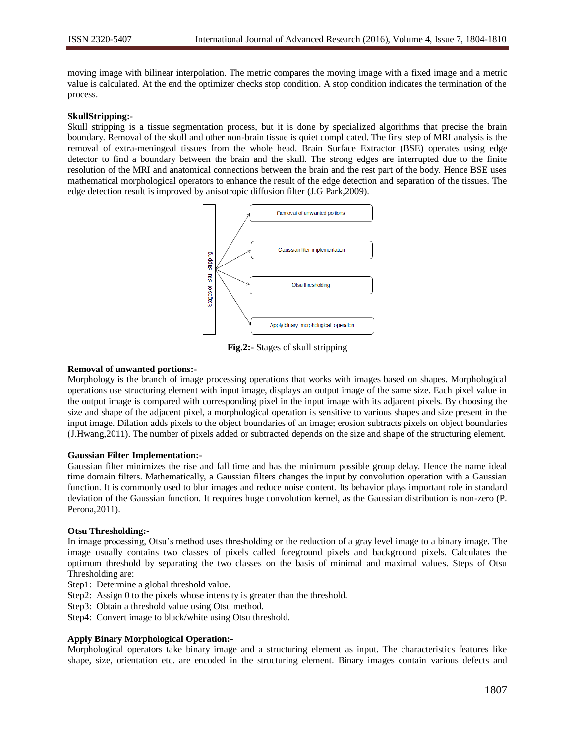moving image with bilinear interpolation. The metric compares the moving image with a fixed image and a metric value is calculated. At the end the optimizer checks stop condition. A stop condition indicates the termination of the process.

#### **SkullStripping:-**

Skull stripping is a tissue segmentation process, but it is done by specialized algorithms that precise the brain boundary. Removal of the skull and other non-brain tissue is quiet complicated. The first step of MRI analysis is the removal of extra-meningeal tissues from the whole head. Brain Surface Extractor (BSE) operates using edge detector to find a boundary between the brain and the skull. The strong edges are interrupted due to the finite resolution of the MRI and anatomical connections between the brain and the rest part of the body. Hence BSE uses mathematical morphological operators to enhance the result of the edge detection and separation of the tissues. The edge detection result is improved by anisotropic diffusion filter (J.G Park,2009).



**Fig.2:-** Stages of skull stripping

#### **Removal of unwanted portions:-**

Morphology is the branch of image processing operations that works with images based on shapes. Morphological operations use structuring element with input image, displays an output image of the same size. Each pixel value in the output image is compared with corresponding pixel in the input image with its adjacent pixels. By choosing the size and shape of the adjacent pixel, a morphological operation is sensitive to various shapes and size present in the input image. Dilation adds pixels to the object boundaries of an image; erosion subtracts pixels on object boundaries (J.Hwang,2011). The number of pixels added or subtracted depends on the size and shape of the structuring element.

#### **Gaussian Filter Implementation:-**

Gaussian filter minimizes the rise and fall time and has the minimum possible group delay. Hence the name ideal time domain filters. Mathematically, a Gaussian filters changes the input by convolution operation with a Gaussian function. It is commonly used to blur images and reduce noise content. Its behavior plays important role in standard deviation of the Gaussian function. It requires huge convolution kernel, as the Gaussian distribution is non-zero (P. Perona,2011).

#### **Otsu Thresholding:-**

In image processing, Otsu's method uses thresholding or the reduction of a gray level image to a binary image. The image usually contains two classes of pixels called foreground pixels and background pixels. Calculates the optimum threshold by separating the two classes on the basis of minimal and maximal values. Steps of Otsu Thresholding are:

- Step1: Determine a global threshold value.
- Step2: Assign 0 to the pixels whose intensity is greater than the threshold.
- Step3: Obtain a threshold value using Otsu method.
- Step4: Convert image to black/white using Otsu threshold.

#### **Apply Binary Morphological Operation:-**

Morphological operators take binary image and a structuring element as input. The characteristics features like shape, size, orientation etc. are encoded in the structuring element. Binary images contain various defects and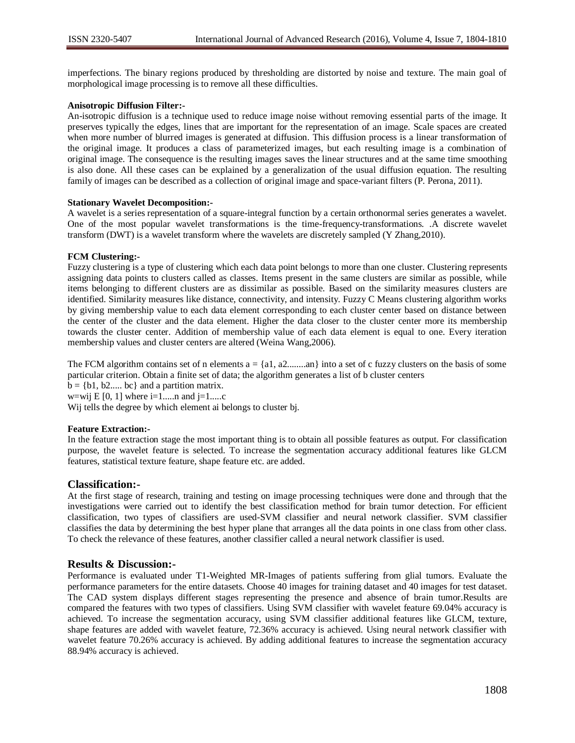imperfections. The binary regions produced by thresholding are distorted by noise and texture. The main goal of morphological image processing is to remove all these difficulties.

### **Anisotropic Diffusion Filter:-**

An-isotropic diffusion is a technique used to reduce image noise without removing essential parts of the image. It preserves typically the edges, lines that are important for the representation of an image. Scale spaces are created when more number of blurred images is generated at diffusion. This diffusion process is a linear transformation of the original image. It produces a class of parameterized images, but each resulting image is a combination of original image. The consequence is the resulting images saves the linear structures and at the same time smoothing is also done. All these cases can be explained by a generalization of the usual diffusion equation. The resulting family of images can be described as a collection of original image and space-variant filters (P. Perona, 2011).

#### **Stationary Wavelet Decomposition:-**

A wavelet is a series representation of a square-integral function by a certain orthonormal series generates a wavelet. One of the most popular wavelet transformations is the time-frequency-transformations. .A discrete wavelet transform (DWT) is a wavelet transform where the wavelets are discretely sampled (Y Zhang,2010).

#### **FCM Clustering:-**

Fuzzy clustering is a type of clustering which each data point belongs to more than one cluster. Clustering represents assigning data points to clusters called as classes. Items present in the same clusters are similar as possible, while items belonging to different clusters are as dissimilar as possible. Based on the similarity measures clusters are identified. Similarity measures like distance, connectivity, and intensity. Fuzzy C Means clustering algorithm works by giving membership value to each data element corresponding to each cluster center based on distance between the center of the cluster and the data element. Higher the data closer to the cluster center more its membership towards the cluster center. Addition of membership value of each data element is equal to one. Every iteration membership values and cluster centers are altered (Weina Wang,2006).

The FCM algorithm contains set of n elements  $a = \{a1, a2, \ldots an\}$  into a set of c fuzzy clusters on the basis of some particular criterion. Obtain a finite set of data; the algorithm generates a list of b cluster centers

 $\mathbf{b} = \{b_1, b_2, \dots, b_c\}$  and a partition matrix.

w=wij E [0, 1] where  $i=1...n$  and  $i=1...c$ 

Wij tells the degree by which element ai belongs to cluster bj.

#### **Feature Extraction:-**

In the feature extraction stage the most important thing is to obtain all possible features as output. For classification purpose, the wavelet feature is selected. To increase the segmentation accuracy additional features like GLCM features, statistical texture feature, shape feature etc. are added.

## **Classification:-**

At the first stage of research, training and testing on image processing techniques were done and through that the investigations were carried out to identify the best classification method for brain tumor detection. For efficient classification, two types of classifiers are used-SVM classifier and neural network classifier. SVM classifier classifies the data by determining the best hyper plane that arranges all the data points in one class from other class. To check the relevance of these features, another classifier called a neural network classifier is used.

## **Results & Discussion:-**

Performance is evaluated under T1-Weighted MR-Images of patients suffering from glial tumors. Evaluate the performance parameters for the entire datasets. Choose 40 images for training dataset and 40 images for test dataset. The CAD system displays different stages representing the presence and absence of brain tumor.Results are compared the features with two types of classifiers. Using SVM classifier with wavelet feature 69.04% accuracy is achieved. To increase the segmentation accuracy, using SVM classifier additional features like GLCM, texture, shape features are added with wavelet feature, 72.36% accuracy is achieved. Using neural network classifier with wavelet feature 70.26% accuracy is achieved. By adding additional features to increase the segmentation accuracy 88.94% accuracy is achieved.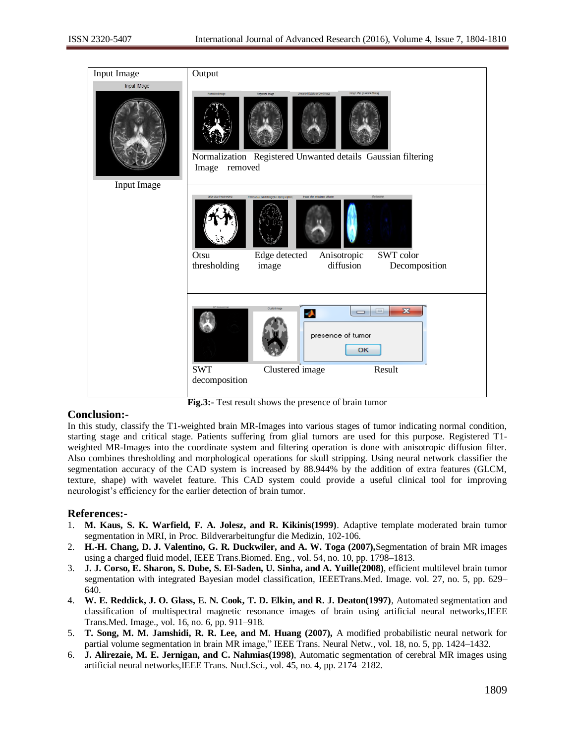| Input Image                | Output                                                                                                                                                                                                                                         |
|----------------------------|------------------------------------------------------------------------------------------------------------------------------------------------------------------------------------------------------------------------------------------------|
| Input IMage<br>Input Image | image after gaussian Mering<br>Normalized image<br>Unwanted Details removed image<br>Registered Image<br>Normalization Registered Unwanted details Gaussian filtering<br>Image removed                                                         |
|                            | Image after anisotopic difusion<br>эталовка<br>after otsu thresholding<br>Thinked & Edge Delected Image(Skull stripping completed)<br>Edge detected<br>Otsu<br>Anisotropic<br>SWT color<br>diffusion<br>thresholding<br>Decomposition<br>image |
|                            | Clusted imag<br>$\overline{\mathbf{z}}$<br>$\qquad \qquad \blacksquare$<br>J.<br>$\equiv$<br>presence of tumor<br>OK<br><b>SWT</b><br>Result<br>Clustered image<br>decomposition                                                               |

**Fig.3:-** Test result shows the presence of brain tumor

## **Conclusion:-**

In this study, classify the T1-weighted brain MR-Images into various stages of tumor indicating normal condition, starting stage and critical stage. Patients suffering from glial tumors are used for this purpose. Registered T1 weighted MR-Images into the coordinate system and filtering operation is done with anisotropic diffusion filter. Also combines thresholding and morphological operations for skull stripping. Using neural network classifier the segmentation accuracy of the CAD system is increased by 88.944% by the addition of extra features (GLCM, texture, shape) with wavelet feature. This CAD system could provide a useful clinical tool for improving neurologist's efficiency for the earlier detection of brain tumor.

# **References:-**

- 1. **M. Kaus, S. K. Warfield, F. A. Jolesz, and R. Kikinis(1999)**. Adaptive template moderated brain tumor segmentation in MRI, in Proc. Bildverarbeitungfur die Medizin, 102-106.
- 2. **H.-H. Chang, D. J. Valentino, G. R. Duckwiler, and A. W. Toga (2007),**Segmentation of brain MR images using a charged fluid model, IEEE Trans.Biomed. Eng*.*, vol. 54, no. 10, pp. 1798–1813.
- 3. **J. J. Corso, E. Sharon, S. Dube, S. El-Saden, U. Sinha, and A. Yuille(2008)**, efficient multilevel brain tumor segmentation with integrated Bayesian model classification, IEEETrans.Med. Image. vol. 27, no. 5, pp. 629– 640.
- 4. **W. E. Reddick, J. O. Glass, E. N. Cook, T. D. Elkin, and R. J. Deaton(1997)**, Automated segmentation and classification of multispectral magnetic resonance images of brain using artificial neural networks,IEEE Trans.Med. Image., vol. 16, no. 6, pp. 911–918.
- 5. **T. Song, M. M. Jamshidi, R. R. Lee, and M. Huang (2007),** A modified probabilistic neural network for partial volume segmentation in brain MR image," IEEE Trans. Neural Netw., vol. 18, no. 5, pp. 1424–1432.
- 6. **J. Alirezaie, M. E. Jernigan, and C. Nahmias(1998)**, Automatic segmentation of cerebral MR images using artificial neural networks,IEEE Trans. Nucl.Sci., vol. 45, no. 4, pp. 2174–2182.